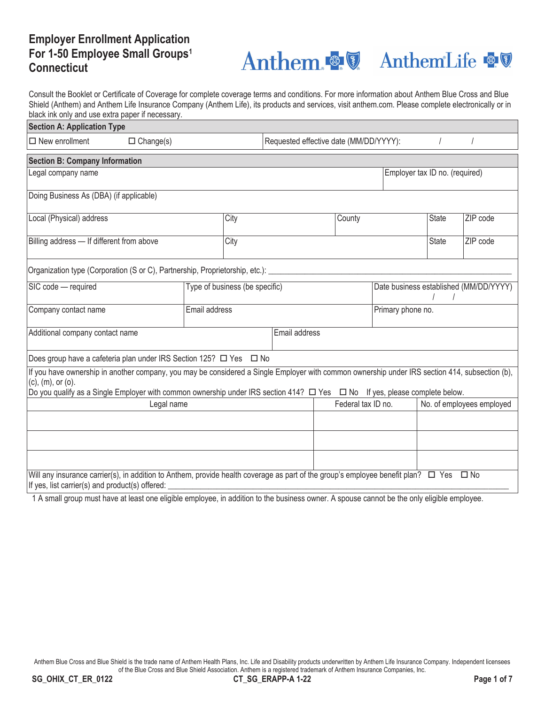## **Employer Enrollment Application For 1-50 Employee Small Groups1 Connecticut**

# Anthem & Z AnthemLife &

Consult the Booklet or Certificate of Coverage for complete coverage terms and conditions. For more information about Anthem Blue Cross and Blue Shield (Anthem) and Anthem Life Insurance Company (Anthem Life), its products and services, visit anthem.com. Please complete electronically or in black ink only and use extra paper if necessary.

| <b>Section A: Application Type</b>                                                                                                                                                                  |                  |               |      |                                        |        |                                |                                        |          |  |
|-----------------------------------------------------------------------------------------------------------------------------------------------------------------------------------------------------|------------------|---------------|------|----------------------------------------|--------|--------------------------------|----------------------------------------|----------|--|
| $\Box$ New enrollment                                                                                                                                                                               | $\Box$ Change(s) |               |      | Requested effective date (MM/DD/YYYY): |        |                                |                                        |          |  |
| <b>Section B: Company Information</b>                                                                                                                                                               |                  |               |      |                                        |        |                                |                                        |          |  |
| Legal company name                                                                                                                                                                                  |                  |               |      |                                        |        | Employer tax ID no. (required) |                                        |          |  |
| Doing Business As (DBA) (if applicable)                                                                                                                                                             |                  |               |      |                                        |        |                                |                                        |          |  |
| Local (Physical) address                                                                                                                                                                            |                  |               | City |                                        | County |                                | <b>State</b>                           | ZIP code |  |
| Billing address - If different from above                                                                                                                                                           |                  |               | City |                                        |        |                                | <b>State</b>                           | ZIP code |  |
| Organization type (Corporation (S or C), Partnership, Proprietorship, etc.): _                                                                                                                      |                  |               |      |                                        |        |                                |                                        |          |  |
| SIC code - required<br>Type of business (be specific)                                                                                                                                               |                  |               |      |                                        |        |                                | Date business established (MM/DD/YYYY) |          |  |
| Company contact name                                                                                                                                                                                |                  | Email address |      | Primary phone no.                      |        |                                |                                        |          |  |
| Additional company contact name                                                                                                                                                                     |                  |               |      | Email address                          |        |                                |                                        |          |  |
| Does group have a cafeteria plan under IRS Section 125? □ Yes □ No                                                                                                                                  |                  |               |      |                                        |        |                                |                                        |          |  |
| If you have ownership in another company, you may be considered a Single Employer with common ownership under IRS section 414, subsection (b),<br>$(c)$ , $(m)$ , or $(o)$ .                        |                  |               |      |                                        |        |                                |                                        |          |  |
| Do you qualify as a Single Employer with common ownership under IRS section 414? $\Box$ Yes $\Box$ No If yes, please complete below.<br>Legal name                                                  |                  |               |      | Federal tax ID no.                     |        |                                | No. of employees employed              |          |  |
|                                                                                                                                                                                                     |                  |               |      |                                        |        |                                |                                        |          |  |
|                                                                                                                                                                                                     |                  |               |      |                                        |        |                                |                                        |          |  |
|                                                                                                                                                                                                     |                  |               |      |                                        |        |                                |                                        |          |  |
| Will any insurance carrier(s), in addition to Anthem, provide health coverage as part of the group's employee benefit plan? $\Box$ Yes $\Box$ No<br>If yes, list carrier(s) and product(s) offered: |                  |               |      |                                        |        |                                |                                        |          |  |

1 A small group must have at least one eligible employee, in addition to the business owner. A spouse cannot be the only eligible employee.

Anthem Blue Cross and Blue Shield is the trade name of Anthem Health Plans, Inc. Life and Disability products underwritten by Anthem Life Insurance Company. Independent licensees of the Blue Cross and Blue Shield Association. Anthem is a registered trademark of Anthem Insurance Companies, Inc.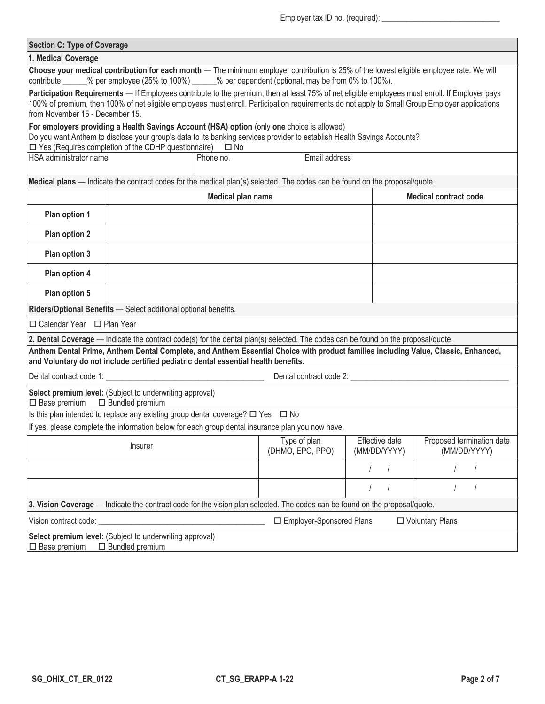| <b>Section C: Type of Coverage</b>                                                                                                                                                                                                                                                                                                  |                                                                                                                                                                                                                                                                                                                                                               |                  |                |                              |  |  |  |  |
|-------------------------------------------------------------------------------------------------------------------------------------------------------------------------------------------------------------------------------------------------------------------------------------------------------------------------------------|---------------------------------------------------------------------------------------------------------------------------------------------------------------------------------------------------------------------------------------------------------------------------------------------------------------------------------------------------------------|------------------|----------------|------------------------------|--|--|--|--|
| 1. Medical Coverage                                                                                                                                                                                                                                                                                                                 |                                                                                                                                                                                                                                                                                                                                                               |                  |                |                              |  |  |  |  |
| Choose your medical contribution for each month - The minimum employer contribution is 25% of the lowest eligible employee rate. We will<br>contribute ______% per employee (25% to 100%) ______% per dependent (optional, may be from 0% to 100%).                                                                                 |                                                                                                                                                                                                                                                                                                                                                               |                  |                |                              |  |  |  |  |
| Participation Requirements — If Employees contribute to the premium, then at least 75% of net eligible employees must enroll. If Employer pays<br>100% of premium, then 100% of net eligible employees must enroll. Participation requirements do not apply to Small Group Employer applications<br>from November 15 - December 15. |                                                                                                                                                                                                                                                                                                                                                               |                  |                |                              |  |  |  |  |
| For employers providing a Health Savings Account (HSA) option (only one choice is allowed)<br>Do you want Anthem to disclose your group's data to its banking services provider to establish Health Savings Accounts?<br>$\Box$ Yes (Requires completion of the CDHP questionnaire)<br>$\square$ No                                 |                                                                                                                                                                                                                                                                                                                                                               |                  |                |                              |  |  |  |  |
| <b>HSA</b> administrator name                                                                                                                                                                                                                                                                                                       | Phone no.                                                                                                                                                                                                                                                                                                                                                     | Email address    |                |                              |  |  |  |  |
|                                                                                                                                                                                                                                                                                                                                     | Medical plans — Indicate the contract codes for the medical plan(s) selected. The codes can be found on the proposal/quote.                                                                                                                                                                                                                                   |                  |                |                              |  |  |  |  |
|                                                                                                                                                                                                                                                                                                                                     | Medical plan name                                                                                                                                                                                                                                                                                                                                             |                  |                | <b>Medical contract code</b> |  |  |  |  |
| Plan option 1                                                                                                                                                                                                                                                                                                                       |                                                                                                                                                                                                                                                                                                                                                               |                  |                |                              |  |  |  |  |
| Plan option 2                                                                                                                                                                                                                                                                                                                       |                                                                                                                                                                                                                                                                                                                                                               |                  |                |                              |  |  |  |  |
| Plan option 3                                                                                                                                                                                                                                                                                                                       |                                                                                                                                                                                                                                                                                                                                                               |                  |                |                              |  |  |  |  |
| Plan option 4                                                                                                                                                                                                                                                                                                                       |                                                                                                                                                                                                                                                                                                                                                               |                  |                |                              |  |  |  |  |
| Plan option 5                                                                                                                                                                                                                                                                                                                       |                                                                                                                                                                                                                                                                                                                                                               |                  |                |                              |  |  |  |  |
|                                                                                                                                                                                                                                                                                                                                     | Riders/Optional Benefits - Select additional optional benefits.                                                                                                                                                                                                                                                                                               |                  |                |                              |  |  |  |  |
| □ Calendar Year □ Plan Year                                                                                                                                                                                                                                                                                                         |                                                                                                                                                                                                                                                                                                                                                               |                  |                |                              |  |  |  |  |
|                                                                                                                                                                                                                                                                                                                                     | 2. Dental Coverage — Indicate the contract code(s) for the dental plan(s) selected. The codes can be found on the proposal/quote.<br>Anthem Dental Prime, Anthem Dental Complete, and Anthem Essential Choice with product families including Value, Classic, Enhanced,<br>and Voluntary do not include certified pediatric dental essential health benefits. |                  |                |                              |  |  |  |  |
|                                                                                                                                                                                                                                                                                                                                     |                                                                                                                                                                                                                                                                                                                                                               |                  |                |                              |  |  |  |  |
| $\Box$ Base premium $\Box$ Bundled premium                                                                                                                                                                                                                                                                                          | Select premium level: (Subject to underwriting approval)                                                                                                                                                                                                                                                                                                      |                  |                |                              |  |  |  |  |
|                                                                                                                                                                                                                                                                                                                                     | Is this plan intended to replace any existing group dental coverage? $\Box$ Yes $\Box$ No                                                                                                                                                                                                                                                                     |                  |                |                              |  |  |  |  |
|                                                                                                                                                                                                                                                                                                                                     | If yes, please complete the information below for each group dental insurance plan you now have.                                                                                                                                                                                                                                                              | Type of plan     | Effective date | Proposed termination date    |  |  |  |  |
|                                                                                                                                                                                                                                                                                                                                     | Insurer                                                                                                                                                                                                                                                                                                                                                       | (DHMO, EPO, PPO) | (MM/DD/YYYY)   | (MM/DD/YYYY)                 |  |  |  |  |
|                                                                                                                                                                                                                                                                                                                                     |                                                                                                                                                                                                                                                                                                                                                               |                  |                |                              |  |  |  |  |
|                                                                                                                                                                                                                                                                                                                                     |                                                                                                                                                                                                                                                                                                                                                               |                  |                |                              |  |  |  |  |
|                                                                                                                                                                                                                                                                                                                                     | 3. Vision Coverage — Indicate the contract code for the vision plan selected. The codes can be found on the proposal/quote.                                                                                                                                                                                                                                   |                  |                |                              |  |  |  |  |
| □ Employer-Sponsored Plans<br>Vision contract code:<br>□ Voluntary Plans                                                                                                                                                                                                                                                            |                                                                                                                                                                                                                                                                                                                                                               |                  |                |                              |  |  |  |  |
| Select premium level: (Subject to underwriting approval)                                                                                                                                                                                                                                                                            |                                                                                                                                                                                                                                                                                                                                                               |                  |                |                              |  |  |  |  |

 $\Box$  Base premium  $\Box$  Bundled premium

 $\overline{a}$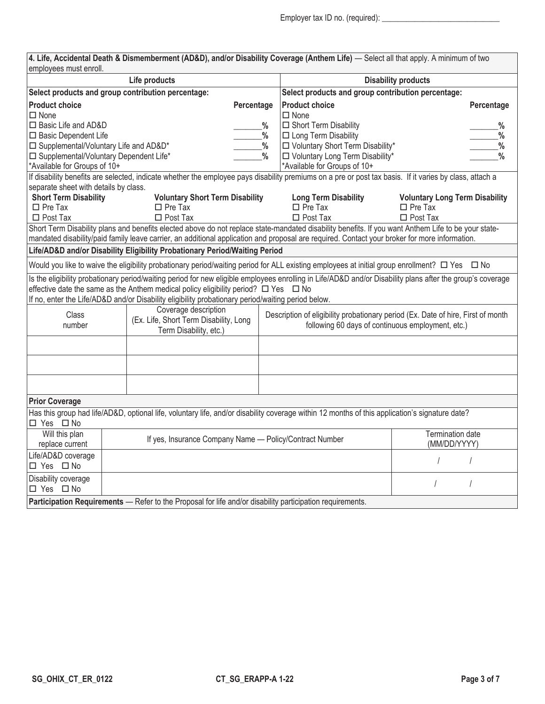| employees must enroll.                   |                                                         |                                                                                                           |               | 4. Life, Accidental Death & Dismemberment (AD&D), and/or Disability Coverage (Anthem Life) - Select all that apply. A minimum of two                    |                                                                                                                                                            |  |  |  |  |
|------------------------------------------|---------------------------------------------------------|-----------------------------------------------------------------------------------------------------------|---------------|---------------------------------------------------------------------------------------------------------------------------------------------------------|------------------------------------------------------------------------------------------------------------------------------------------------------------|--|--|--|--|
| Life products                            |                                                         |                                                                                                           |               | <b>Disability products</b>                                                                                                                              |                                                                                                                                                            |  |  |  |  |
|                                          |                                                         | Select products and group contribution percentage:                                                        |               | Select products and group contribution percentage:                                                                                                      |                                                                                                                                                            |  |  |  |  |
| <b>Product choice</b>                    |                                                         |                                                                                                           | Percentage    | <b>Product choice</b>                                                                                                                                   | Percentage                                                                                                                                                 |  |  |  |  |
| $\Box$ None                              |                                                         |                                                                                                           |               | $\Box$ None                                                                                                                                             |                                                                                                                                                            |  |  |  |  |
| □ Basic Life and AD&D                    |                                                         |                                                                                                           | ℅             | □ Short Term Disability                                                                                                                                 | %                                                                                                                                                          |  |  |  |  |
| □ Basic Dependent Life                   |                                                         |                                                                                                           | $\%$          | □ Long Term Disability                                                                                                                                  | $\frac{0}{0}$                                                                                                                                              |  |  |  |  |
| □ Supplemental/Voluntary Life and AD&D*  |                                                         |                                                                                                           | $\frac{0}{0}$ | □ Voluntary Short Term Disability*                                                                                                                      | $\%$                                                                                                                                                       |  |  |  |  |
| □ Supplemental/Voluntary Dependent Life* |                                                         |                                                                                                           | $\frac{0}{0}$ | □ Voluntary Long Term Disability*                                                                                                                       | $\frac{0}{0}$                                                                                                                                              |  |  |  |  |
| *Available for Groups of 10+             |                                                         |                                                                                                           |               | *Available for Groups of 10+                                                                                                                            |                                                                                                                                                            |  |  |  |  |
|                                          |                                                         |                                                                                                           |               | If disability benefits are selected, indicate whether the employee pays disability premiums on a pre or post tax basis. If it varies by class, attach a |                                                                                                                                                            |  |  |  |  |
| separate sheet with details by class.    |                                                         |                                                                                                           |               |                                                                                                                                                         |                                                                                                                                                            |  |  |  |  |
| <b>Short Term Disability</b>             |                                                         | <b>Voluntary Short Term Disability</b>                                                                    |               | <b>Long Term Disability</b>                                                                                                                             | <b>Voluntary Long Term Disability</b>                                                                                                                      |  |  |  |  |
| $\Box$ Pre Tax                           |                                                         | $\Box$ Pre Tax                                                                                            |               | $\Box$ Pre Tax                                                                                                                                          | $\Box$ Pre Tax                                                                                                                                             |  |  |  |  |
| $\Box$ Post Tax                          |                                                         | $\Box$ Post Tax                                                                                           |               | $\Box$ Post Tax                                                                                                                                         | $\Box$ Post Tax                                                                                                                                            |  |  |  |  |
|                                          |                                                         |                                                                                                           |               | Short Term Disability plans and benefits elected above do not replace state-mandated disability benefits. If you want Anthem Life to be your state-     |                                                                                                                                                            |  |  |  |  |
|                                          |                                                         |                                                                                                           |               | mandated disability/paid family leave carrier, an additional application and proposal are required. Contact your broker for more information.           |                                                                                                                                                            |  |  |  |  |
|                                          |                                                         | Life/AD&D and/or Disability Eligibility Probationary Period/Waiting Period                                |               |                                                                                                                                                         |                                                                                                                                                            |  |  |  |  |
|                                          |                                                         |                                                                                                           |               | Would you like to waive the eligibility probationary period/waiting period for ALL existing employees at initial group enrollment? □ Yes □ No           |                                                                                                                                                            |  |  |  |  |
|                                          |                                                         |                                                                                                           |               |                                                                                                                                                         | Is the eligibility probationary period/waiting period for new eligible employees enrolling in Life/AD&D and/or Disability plans after the group's coverage |  |  |  |  |
|                                          |                                                         | effective date the same as the Anthem medical policy eligibility period? $\Box$ Yes $\Box$ No             |               |                                                                                                                                                         |                                                                                                                                                            |  |  |  |  |
|                                          |                                                         | If no, enter the Life/AD&D and/or Disability eligibility probationary period/waiting period below.        |               |                                                                                                                                                         |                                                                                                                                                            |  |  |  |  |
| Class                                    |                                                         | Coverage description                                                                                      |               |                                                                                                                                                         | Description of eligibility probationary period (Ex. Date of hire, First of month                                                                           |  |  |  |  |
| number                                   |                                                         | (Ex. Life, Short Term Disability, Long                                                                    |               | following 60 days of continuous employment, etc.)                                                                                                       |                                                                                                                                                            |  |  |  |  |
|                                          |                                                         | Term Disability, etc.)                                                                                    |               |                                                                                                                                                         |                                                                                                                                                            |  |  |  |  |
|                                          |                                                         |                                                                                                           |               |                                                                                                                                                         |                                                                                                                                                            |  |  |  |  |
|                                          |                                                         |                                                                                                           |               |                                                                                                                                                         |                                                                                                                                                            |  |  |  |  |
|                                          |                                                         |                                                                                                           |               |                                                                                                                                                         |                                                                                                                                                            |  |  |  |  |
| <b>Prior Coverage</b>                    |                                                         |                                                                                                           |               |                                                                                                                                                         |                                                                                                                                                            |  |  |  |  |
| □ Yes □ No                               |                                                         |                                                                                                           |               | Has this group had life/AD&D, optional life, voluntary life, and/or disability coverage within 12 months of this application's signature date?          |                                                                                                                                                            |  |  |  |  |
| Will this plan<br>replace current        | If yes, Insurance Company Name - Policy/Contract Number |                                                                                                           |               |                                                                                                                                                         | <b>Termination date</b><br>(MM/DD/YYYY)                                                                                                                    |  |  |  |  |
| Life/AD&D coverage                       |                                                         |                                                                                                           |               |                                                                                                                                                         |                                                                                                                                                            |  |  |  |  |
| □ Yes □ No                               |                                                         |                                                                                                           |               |                                                                                                                                                         |                                                                                                                                                            |  |  |  |  |
| Disability coverage                      |                                                         |                                                                                                           |               |                                                                                                                                                         |                                                                                                                                                            |  |  |  |  |
| □ Yes □ No                               |                                                         |                                                                                                           |               |                                                                                                                                                         | $\prime$                                                                                                                                                   |  |  |  |  |
|                                          |                                                         | Participation Requirements - Refer to the Proposal for life and/or disability participation requirements. |               |                                                                                                                                                         |                                                                                                                                                            |  |  |  |  |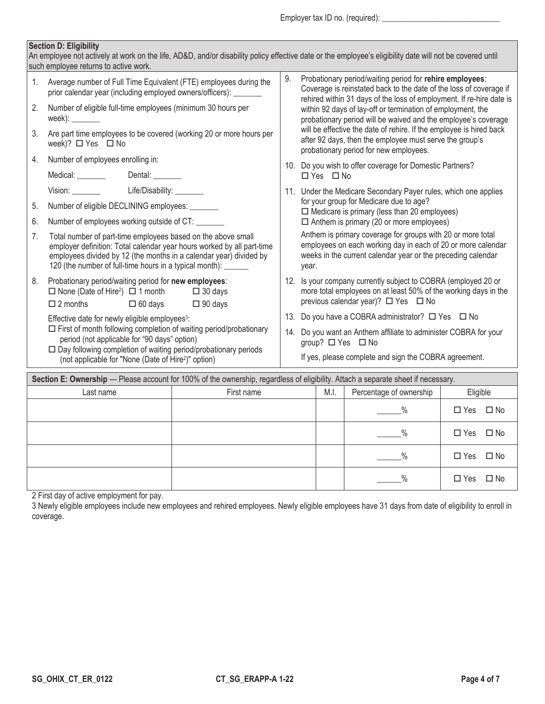Employer tax ID no. (required): \_\_\_\_\_\_\_\_\_\_\_\_\_\_\_\_\_\_\_\_\_\_\_\_\_\_\_\_\_

## **Section D: Eligibility**

| An employee not actively at work on the life, AD&D, and/or disability policy effective date or the employee's eligibility date will not be covered until<br>such employee returns to active work. |                                                                                                                                                                                                                                                                                                                                                           |    |                                                                                                                                                                                                                                                                                                                                                                                                                                                                                                                     |  |  |  |  |  |
|---------------------------------------------------------------------------------------------------------------------------------------------------------------------------------------------------|-----------------------------------------------------------------------------------------------------------------------------------------------------------------------------------------------------------------------------------------------------------------------------------------------------------------------------------------------------------|----|---------------------------------------------------------------------------------------------------------------------------------------------------------------------------------------------------------------------------------------------------------------------------------------------------------------------------------------------------------------------------------------------------------------------------------------------------------------------------------------------------------------------|--|--|--|--|--|
| 1.<br>2.<br>3.<br>4.                                                                                                                                                                              | Average number of Full Time Equivalent (FTE) employees during the<br>prior calendar year (including employed owners/officers): _______<br>Number of eligible full-time employees (minimum 30 hours per<br>week): _______<br>Are part time employees to be covered (working 20 or more hours per<br>week)? □ Yes □ No<br>Number of employees enrolling in: | 9. | Probationary period/waiting period for rehire employees:<br>Coverage is reinstated back to the date of the loss of coverage if<br>rehired within 31 days of the loss of employment. If re-hire date is<br>within 92 days of lay-off or termination of employment, the<br>probationary period will be waived and the employee's coverage<br>will be effective the date of rehire. If the employee is hired back<br>after 92 days, then the employee must serve the group's<br>probationary period for new employees. |  |  |  |  |  |
|                                                                                                                                                                                                   |                                                                                                                                                                                                                                                                                                                                                           |    | 10. Do you wish to offer coverage for Domestic Partners?<br>$\Box$ Yes $\Box$ No                                                                                                                                                                                                                                                                                                                                                                                                                                    |  |  |  |  |  |
|                                                                                                                                                                                                   | Vision: Life/Disability: _______                                                                                                                                                                                                                                                                                                                          |    | 11. Under the Medicare Secondary Payer rules, which one applies                                                                                                                                                                                                                                                                                                                                                                                                                                                     |  |  |  |  |  |
| 5.                                                                                                                                                                                                | Number of eligible DECLINING employees: ______                                                                                                                                                                                                                                                                                                            |    | for your group for Medicare due to age?<br>$\Box$ Medicare is primary (less than 20 employees)                                                                                                                                                                                                                                                                                                                                                                                                                      |  |  |  |  |  |
| 6.                                                                                                                                                                                                | Number of employees working outside of CT: _______                                                                                                                                                                                                                                                                                                        |    | $\Box$ Anthem is primary (20 or more employees)                                                                                                                                                                                                                                                                                                                                                                                                                                                                     |  |  |  |  |  |
| 7.                                                                                                                                                                                                | Total number of part-time employees based on the above small<br>employer definition: Total calendar year hours worked by all part-time<br>employees divided by 12 (the months in a calendar year) divided by<br>120 (the number of full-time hours in a typical month): ______                                                                            |    | Anthem is primary coverage for groups with 20 or more total<br>employees on each working day in each of 20 or more calendar<br>weeks in the current calendar year or the preceding calendar<br>year.                                                                                                                                                                                                                                                                                                                |  |  |  |  |  |
| 8.                                                                                                                                                                                                | Probationary period/waiting period for new employees:<br>$\Box$ None (Date of Hire <sup>2</sup> ) $\Box$ 1 month $\Box$ 30 days                                                                                                                                                                                                                           |    | 12. Is your company currently subject to COBRA (employed 20 or<br>more total employees on at least 50% of the working days in the<br>previous calendar year)? $\Box$ Yes $\Box$ No                                                                                                                                                                                                                                                                                                                                  |  |  |  |  |  |
|                                                                                                                                                                                                   | $\Box$ 2 months $\Box$ 60 days $\Box$ 90 days                                                                                                                                                                                                                                                                                                             |    |                                                                                                                                                                                                                                                                                                                                                                                                                                                                                                                     |  |  |  |  |  |
|                                                                                                                                                                                                   | Effective date for newly eligible employees <sup>3</sup> :<br>$\Box$ First of month following completion of waiting period/probationary                                                                                                                                                                                                                   |    | 13. Do you have a COBRA administrator? □ Yes □ No                                                                                                                                                                                                                                                                                                                                                                                                                                                                   |  |  |  |  |  |
|                                                                                                                                                                                                   | period (not applicable for "90 days" option)<br>$\Box$ Day following completion of waiting period/probationary periods                                                                                                                                                                                                                                    |    | 14. Do you want an Anthem affiliate to administer COBRA for your<br>group? $\Box$ Yes $\Box$ No                                                                                                                                                                                                                                                                                                                                                                                                                     |  |  |  |  |  |
|                                                                                                                                                                                                   | (not applicable for "None (Date of Hire <sup>2</sup> )" option)                                                                                                                                                                                                                                                                                           |    | If yes, please complete and sign the COBRA agreement.                                                                                                                                                                                                                                                                                                                                                                                                                                                               |  |  |  |  |  |
|                                                                                                                                                                                                   | Section E: Ownership — Please account for 100% of the ownership regardless of eligibility Attach a senarate sheet if necessary                                                                                                                                                                                                                            |    |                                                                                                                                                                                                                                                                                                                                                                                                                                                                                                                     |  |  |  |  |  |

| Section E: Ownership — Please account for 100% of the ownership, regardless of eligibility. Attach a separate sheet if necessary. |            |  |                         |                               |  |  |  |  |  |
|-----------------------------------------------------------------------------------------------------------------------------------|------------|--|-------------------------|-------------------------------|--|--|--|--|--|
| Last name                                                                                                                         | First name |  | Percentage of ownership | Eligible                      |  |  |  |  |  |
|                                                                                                                                   |            |  |                         | $\square$ No<br>$\square$ Yes |  |  |  |  |  |
|                                                                                                                                   |            |  | $\%$                    | $\square$ No<br>$\Box$ Yes    |  |  |  |  |  |
|                                                                                                                                   |            |  |                         | $\square$ No<br>$\square$ Yes |  |  |  |  |  |
|                                                                                                                                   |            |  |                         | $\square$ No<br>$\Box$ Yes    |  |  |  |  |  |

2 First day of active employment for pay.

3 Newly eligible employees include new employees and rehired employees. Newly eligible employees have 31 days from date of eligibility to enroll in coverage.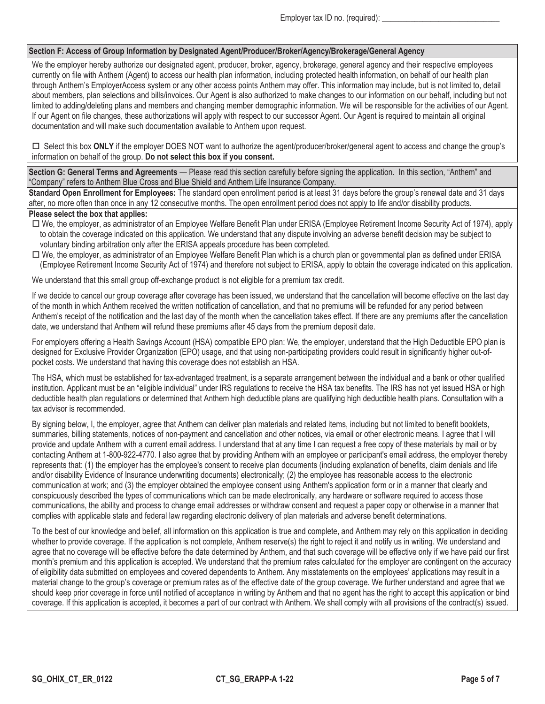### **Section F: Access of Group Information by Designated Agent/Producer/Broker/Agency/Brokerage/General Agency**

We the employer hereby authorize our designated agent, producer, broker, agency, brokerage, general agency and their respective employees currently on file with Anthem (Agent) to access our health plan information, including protected health information, on behalf of our health plan through Anthem's EmployerAccess system or any other access points Anthem may offer. This information may include, but is not limited to, detail about members, plan selections and bills/invoices. Our Agent is also authorized to make changes to our information on our behalf, including but not limited to adding/deleting plans and members and changing member demographic information. We will be responsible for the activities of our Agent. If our Agent on file changes, these authorizations will apply with respect to our successor Agent. Our Agent is required to maintain all original documentation and will make such documentation available to Anthem upon request.

□ Select this box ONLY if the employer DOES NOT want to authorize the agent/producer/broker/general agent to access and change the group's information on behalf of the group. **Do not select this box if you consent.**

**Section G: General Terms and Agreements** — Please read this section carefully before signing the application. In this section, "Anthem" and "Company" refers to Anthem Blue Cross and Blue Shield and Anthem Life Insurance Company.

**Standard Open Enrollment for Employees:** The standard open enrollment period is at least 31 days before the group's renewal date and 31 days after, no more often than once in any 12 consecutive months. The open enrollment period does not apply to life and/or disability products. **Please select the box that applies:**

- $\Box$  We, the employer, as administrator of an Employee Welfare Benefit Plan under ERISA (Employee Retirement Income Security Act of 1974), apply to obtain the coverage indicated on this application. We understand that any dispute involving an adverse benefit decision may be subject to voluntary binding arbitration only after the ERISA appeals procedure has been completed.
- We, the employer, as administrator of an Employee Welfare Benefit Plan which is a church plan or governmental plan as defined under ERISA (Employee Retirement Income Security Act of 1974) and therefore not subject to ERISA, apply to obtain the coverage indicated on this application.

We understand that this small group off-exchange product is not eligible for a premium tax credit.

If we decide to cancel our group coverage after coverage has been issued, we understand that the cancellation will become effective on the last day of the month in which Anthem received the written notification of cancellation, and that no premiums will be refunded for any period between Anthem's receipt of the notification and the last day of the month when the cancellation takes effect. If there are any premiums after the cancellation date, we understand that Anthem will refund these premiums after 45 days from the premium deposit date.

For employers offering a Health Savings Account (HSA) compatible EPO plan: We, the employer, understand that the High Deductible EPO plan is designed for Exclusive Provider Organization (EPO) usage, and that using non-participating providers could result in significantly higher out-ofpocket costs. We understand that having this coverage does not establish an HSA.

The HSA, which must be established for tax-advantaged treatment, is a separate arrangement between the individual and a bank or other qualified institution. Applicant must be an "eligible individual" under IRS regulations to receive the HSA tax benefits. The IRS has not yet issued HSA or high deductible health plan regulations or determined that Anthem high deductible plans are qualifying high deductible health plans. Consultation with a tax advisor is recommended.

By signing below, I, the employer, agree that Anthem can deliver plan materials and related items, including but not limited to benefit booklets, summaries, billing statements, notices of non-payment and cancellation and other notices, via email or other electronic means. I agree that I will provide and update Anthem with a current email address. I understand that at any time I can request a free copy of these materials by mail or by contacting Anthem at 1-800-922-4770. I also agree that by providing Anthem with an employee or participant's email address, the employer thereby represents that: (1) the employer has the employee's consent to receive plan documents (including explanation of benefits, claim denials and life and/or disability Evidence of Insurance underwriting documents) electronically; (2) the employee has reasonable access to the electronic communication at work; and (3) the employer obtained the employee consent using Anthem's application form or in a manner that clearly and conspicuously described the types of communications which can be made electronically, any hardware or software required to access those communications, the ability and process to change email addresses or withdraw consent and request a paper copy or otherwise in a manner that complies with applicable state and federal law regarding electronic delivery of plan materials and adverse benefit determinations.

To the best of our knowledge and belief, all information on this application is true and complete, and Anthem may rely on this application in deciding whether to provide coverage. If the application is not complete, Anthem reserve(s) the right to reject it and notify us in writing. We understand and agree that no coverage will be effective before the date determined by Anthem, and that such coverage will be effective only if we have paid our first month's premium and this application is accepted. We understand that the premium rates calculated for the employer are contingent on the accuracy of eligibility data submitted on employees and covered dependents to Anthem. Any misstatements on the employees' applications may result in a material change to the group's coverage or premium rates as of the effective date of the group coverage. We further understand and agree that we should keep prior coverage in force until notified of acceptance in writing by Anthem and that no agent has the right to accept this application or bind coverage. If this application is accepted, it becomes a part of our contract with Anthem. We shall comply with all provisions of the contract(s) issued.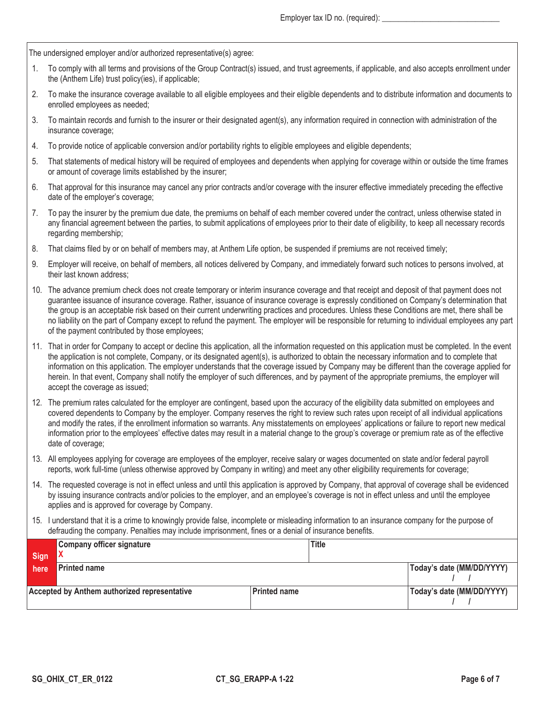The undersigned employer and/or authorized representative(s) agree:

- 1. To comply with all terms and provisions of the Group Contract(s) issued, and trust agreements, if applicable, and also accepts enrollment under the (Anthem Life) trust policy(ies), if applicable;
- 2. To make the insurance coverage available to all eligible employees and their eligible dependents and to distribute information and documents to enrolled employees as needed;
- 3. To maintain records and furnish to the insurer or their designated agent(s), any information required in connection with administration of the insurance coverage;
- 4. To provide notice of applicable conversion and/or portability rights to eligible employees and eligible dependents;
- 5. That statements of medical history will be required of employees and dependents when applying for coverage within or outside the time frames or amount of coverage limits established by the insurer;
- 6. That approval for this insurance may cancel any prior contracts and/or coverage with the insurer effective immediately preceding the effective date of the employer's coverage;
- 7. To pay the insurer by the premium due date, the premiums on behalf of each member covered under the contract, unless otherwise stated in any financial agreement between the parties, to submit applications of employees prior to their date of eligibility, to keep all necessary records regarding membership;
- 8. That claims filed by or on behalf of members may, at Anthem Life option, be suspended if premiums are not received timely;
- 9. Employer will receive, on behalf of members, all notices delivered by Company, and immediately forward such notices to persons involved, at their last known address;
- 10. The advance premium check does not create temporary or interim insurance coverage and that receipt and deposit of that payment does not guarantee issuance of insurance coverage. Rather, issuance of insurance coverage is expressly conditioned on Company's determination that the group is an acceptable risk based on their current underwriting practices and procedures. Unless these Conditions are met, there shall be no liability on the part of Company except to refund the payment. The employer will be responsible for returning to individual employees any part of the payment contributed by those employees;
- 11. That in order for Company to accept or decline this application, all the information requested on this application must be completed. In the event the application is not complete, Company, or its designated agent(s), is authorized to obtain the necessary information and to complete that information on this application. The employer understands that the coverage issued by Company may be different than the coverage applied for herein. In that event, Company shall notify the employer of such differences, and by payment of the appropriate premiums, the employer will accept the coverage as issued;
- 12. The premium rates calculated for the employer are contingent, based upon the accuracy of the eligibility data submitted on employees and covered dependents to Company by the employer. Company reserves the right to review such rates upon receipt of all individual applications and modify the rates, if the enrollment information so warrants. Any misstatements on employees' applications or failure to report new medical information prior to the employees' effective dates may result in a material change to the group's coverage or premium rate as of the effective date of coverage;
- 13. All employees applying for coverage are employees of the employer, receive salary or wages documented on state and/or federal payroll reports, work full-time (unless otherwise approved by Company in writing) and meet any other eligibility requirements for coverage;
- 14. The requested coverage is not in effect unless and until this application is approved by Company, that approval of coverage shall be evidenced by issuing insurance contracts and/or policies to the employer, and an employee's coverage is not in effect unless and until the employee applies and is approved for coverage by Company.
- 15. I understand that it is a crime to knowingly provide false, incomplete or misleading information to an insurance company for the purpose of defrauding the company. Penalties may include imprisonment, fines or a denial of insurance benefits.

|                                              | Company officer signature |              | <b>Title</b> |                           |  |
|----------------------------------------------|---------------------------|--------------|--------------|---------------------------|--|
| Sign                                         |                           |              |              |                           |  |
| here                                         | <b>Printed name</b>       |              |              | Today's date (MM/DD/YYYY) |  |
|                                              |                           |              |              |                           |  |
| Accepted by Anthem authorized representative |                           | Printed name |              | Today's date (MM/DD/YYYY) |  |
|                                              |                           |              |              |                           |  |